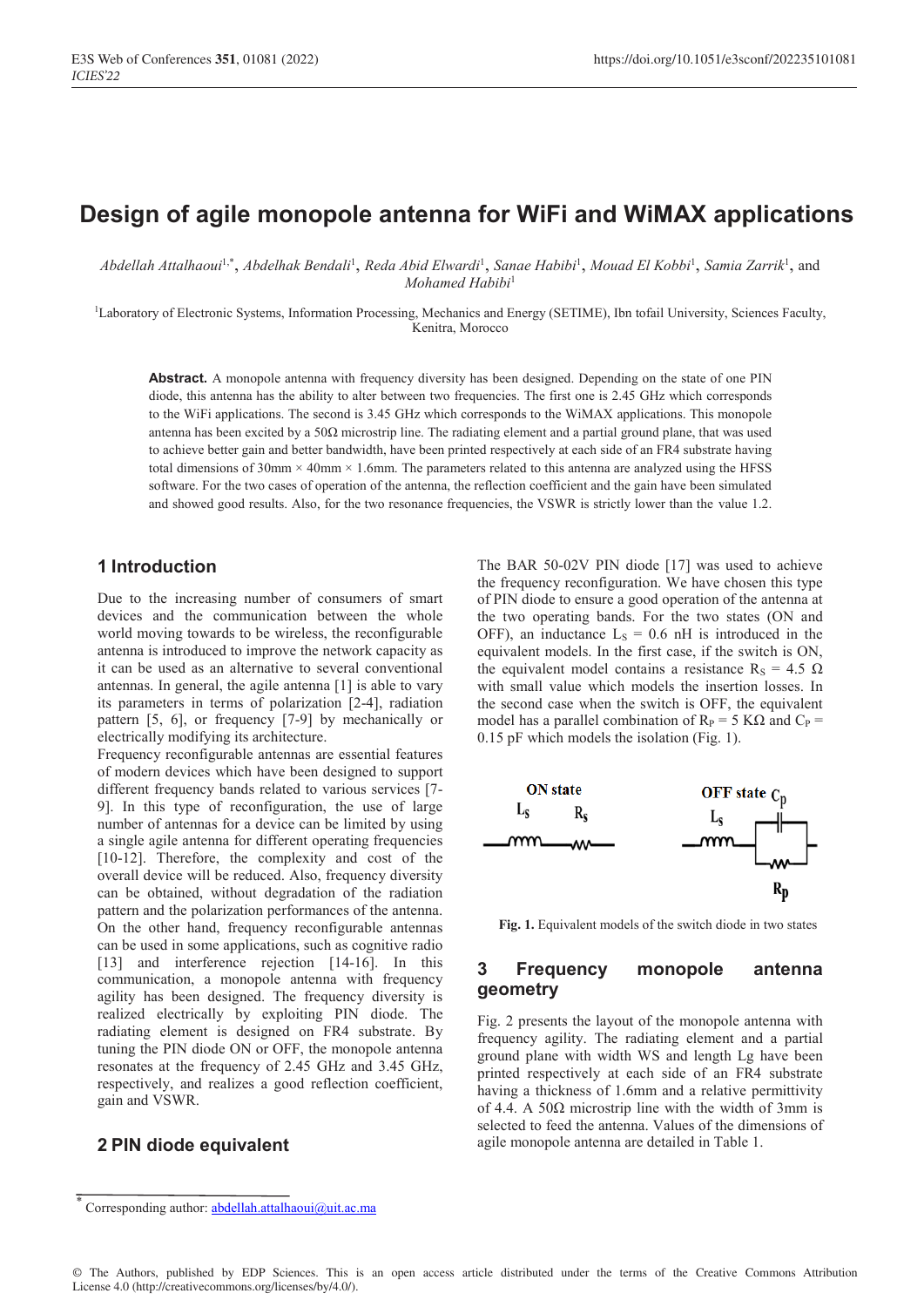# **Design of agile monopole antenna for WiFi and WiMAX applications**

*Abdellah Attalhaoui*1,\*, *Abdelhak Bendali*<sup>1</sup> , *Reda Abid Elwardi*<sup>1</sup> , *Sanae Habibi*<sup>1</sup> , *Mouad El Kobbi*<sup>1</sup> , *Samia Zarrik*<sup>1</sup> , and *Mohamed Habibi*<sup>1</sup>

<sup>1</sup>Laboratory of Electronic Systems, Information Processing, Mechanics and Energy (SETIME), Ibn tofail University, Sciences Faculty, Kenitra, Morocco

Abstract. A monopole antenna with frequency diversity has been designed. Depending on the state of one PIN diode, this antenna has the ability to alter between two frequencies. The first one is 2.45 GHz which corresponds to the WiFi applications. The second is 3.45 GHz which corresponds to the WiMAX applications. This monopole antenna has been excited by a 50Ω microstrip line. The radiating element and a partial ground plane, that was used to achieve better gain and better bandwidth, have been printed respectively at each side of an FR4 substrate having total dimensions of  $30 \text{mm} \times 40 \text{mm} \times 1.6 \text{mm}$ . The parameters related to this antenna are analyzed using the HFSS software. For the two cases of operation of the antenna, the reflection coefficient and the gain have been simulated and showed good results. Also, for the two resonance frequencies, the VSWR is strictly lower than the value 1.2.

#### **1 Introduction**

Due to the increasing number of consumers of smart devices and the communication between the whole world moving towards to be wireless, the reconfigurable antenna is introduced to improve the network capacity as it can be used as an alternative to several conventional antennas. In general, the agile antenna [1] is able to vary its parameters in terms of polarization [2-4], radiation pattern [5, 6], or frequency [7-9] by mechanically or electrically modifying its architecture.

Frequency reconfigurable antennas are essential features of modern devices which have been designed to support different frequency bands related to various services [7- 9]. In this type of reconfiguration, the use of large number of antennas for a device can be limited by using a single agile antenna for different operating frequencies [10-12]. Therefore, the complexity and cost of the overall device will be reduced. Also, frequency diversity can be obtained, without degradation of the radiation pattern and the polarization performances of the antenna. On the other hand, frequency reconfigurable antennas can be used in some applications, such as cognitive radio [13] and interference rejection [14-16]. In this communication, a monopole antenna with frequency agility has been designed. The frequency diversity is realized electrically by exploiting PIN diode. The radiating element is designed on FR4 substrate. By tuning the PIN diode ON or OFF, the monopole antenna resonates at the frequency of 2.45 GHz and 3.45 GHz, respectively, and realizes a good reflection coefficient, gain and VSWR.

#### **2 PIN diode equivalent**

The BAR 50-02V PIN diode [17] was used to achieve the frequency reconfiguration. We have chosen this type of PIN diode to ensure a good operation of the antenna at the two operating bands. For the two states (ON and OFF), an inductance  $L<sub>S</sub> = 0.6$  nH is introduced in the equivalent models. In the first case, if the switch is ON, the equivalent model contains a resistance R<sub>S</sub> = 4.5  $\Omega$ with small value which models the insertion losses. In the second case when the switch is OFF, the equivalent model has a parallel combination of  $R_P = 5$  KΩ and  $C_P =$ 0.15 pF which models the isolation (Fig. 1).



**Fig. 1.** Equivalent models of the switch diode in two states

### **3 Frequency monopole antenna geometry**

Fig. 2 presents the layout of the monopole antenna with frequency agility. The radiating element and a partial ground plane with width WS and length Lg have been printed respectively at each side of an FR4 substrate having a thickness of 1.6mm and a relative permittivity of 4.4. A 50 $\Omega$  microstrip line with the width of 3mm is selected to feed the antenna. Values of the dimensions of agile monopole antenna are detailed in Table 1.

Corresponding author: abdellah.attalhaoui@uit.ac.ma

<sup>©</sup> The Authors, published by EDP Sciences. This is an open access article distributed under the terms of the Creative Commons Attribution License 4.0 (http://creativecommons.org/licenses/by/4.0/).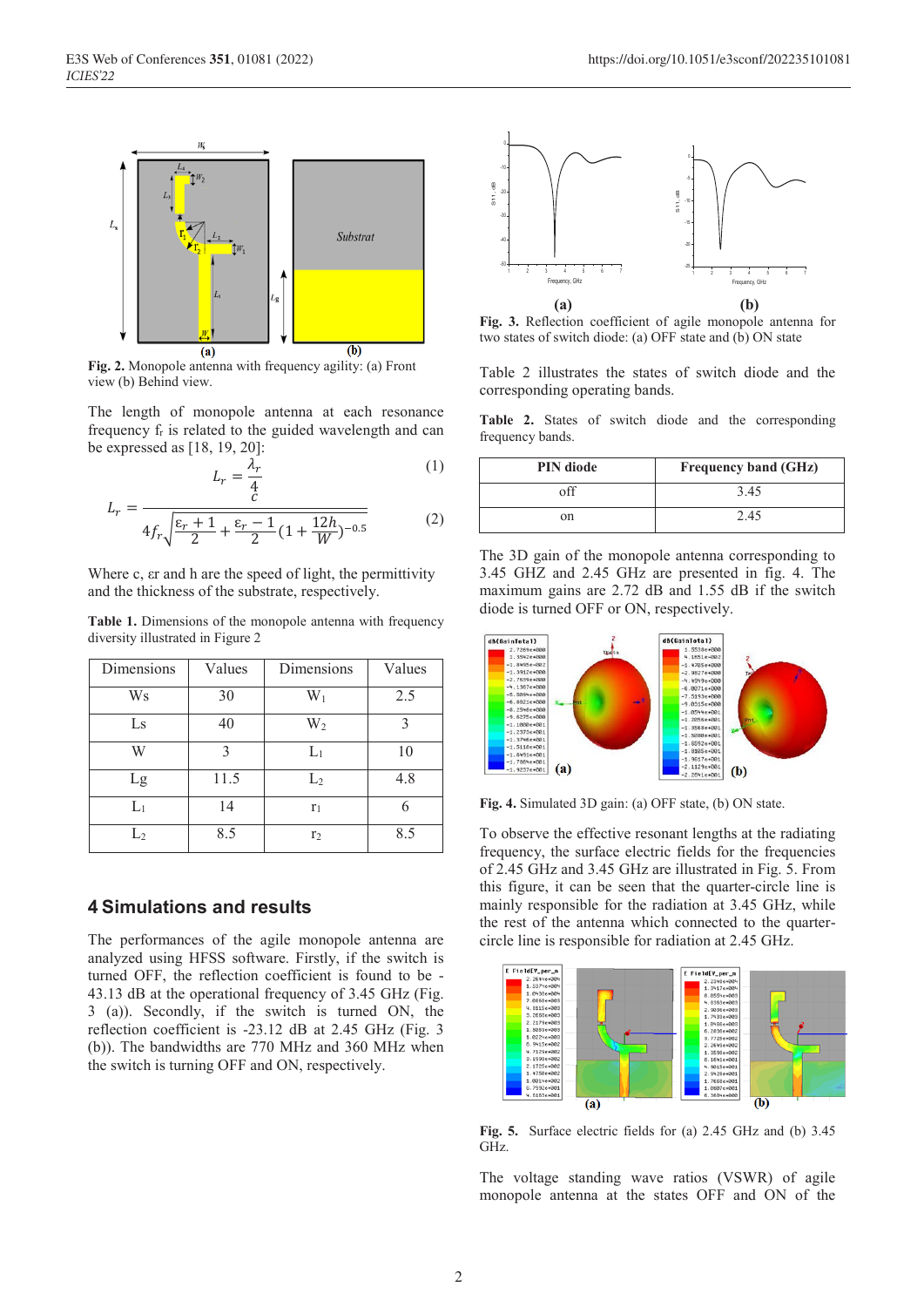

**Fig. 2.** Monopole antenna with frequency agility: (a) Front view (b) Behind view.

 $L_r$ 

The length of monopole antenna at each resonance frequency fr is related to the guided wavelength and can be expressed as [18, 19, 20]:

$$
=\frac{\lambda_r}{4}
$$
 (1)

$$
L_r = \frac{c}{4f_r\sqrt{\frac{\varepsilon_r + 1}{2} + \frac{\varepsilon_r - 1}{2}(1 + \frac{12h}{W})^{-0.5}}}
$$
(2)

Where c,  $\epsilon$  and h are the speed of light, the permittivity and the thickness of the substrate, respectively.

**Table 1.** Dimensions of the monopole antenna with frequency diversity illustrated in Figure 2

| Dimensions     | Values | Dimensions     | Values |
|----------------|--------|----------------|--------|
| Ws             | 30     | $W_1$          | 2.5    |
| Ls             | 40     | $W_2$          |        |
| W              |        | $L_1$          | 10     |
| Lg             | 11.5   | L <sub>2</sub> | 4.8    |
| $\mathrm{L}_1$ | 14     | $r_1$          |        |
| $L_2$          | 8.5    | r <sub>2</sub> | 8.5    |

### **4 Simulations and results**

The performances of the agile monopole antenna are analyzed using HFSS software. Firstly, if the switch is turned OFF, the reflection coefficient is found to be - 43.13 dB at the operational frequency of 3.45 GHz (Fig. 3 (a)). Secondly, if the switch is turned ON, the reflection coefficient is -23.12 dB at 2.45 GHz (Fig. 3 (b)). The bandwidths are 770 MHz and 360 MHz when the switch is turning OFF and ON, respectively.



**Fig. 3.** Reflection coefficient of agile monopole antenna for two states of switch diode: (a) OFF state and (b) ON state

Table 2 illustrates the states of switch diode and the corresponding operating bands.

**Table 2.** States of switch diode and the corresponding frequency bands.

| <b>PIN</b> diode | <b>Frequency band (GHz)</b> |
|------------------|-----------------------------|
| off              | 3.45                        |
| on               | 2.45                        |

The 3D gain of the monopole antenna corresponding to 3.45 GHZ and 2.45 GHz are presented in fig. 4. The maximum gains are 2.72 dB and 1.55 dB if the switch diode is turned OFF or ON, respectively.



**Fig. 4.** Simulated 3D gain: (a) OFF state, (b) ON state.

To observe the effective resonant lengths at the radiating frequency, the surface electric fields for the frequencies of 2.45 GHz and 3.45 GHz are illustrated in Fig. 5. From this figure, it can be seen that the quarter-circle line is mainly responsible for the radiation at 3.45 GHz, while the rest of the antenna which connected to the quartercircle line is responsible for radiation at 2.45 GHz.



**Fig. 5.** Surface electric fields for (a) 2.45 GHz and (b) 3.45 GHz.

The voltage standing wave ratios (VSWR) of agile monopole antenna at the states OFF and ON of the